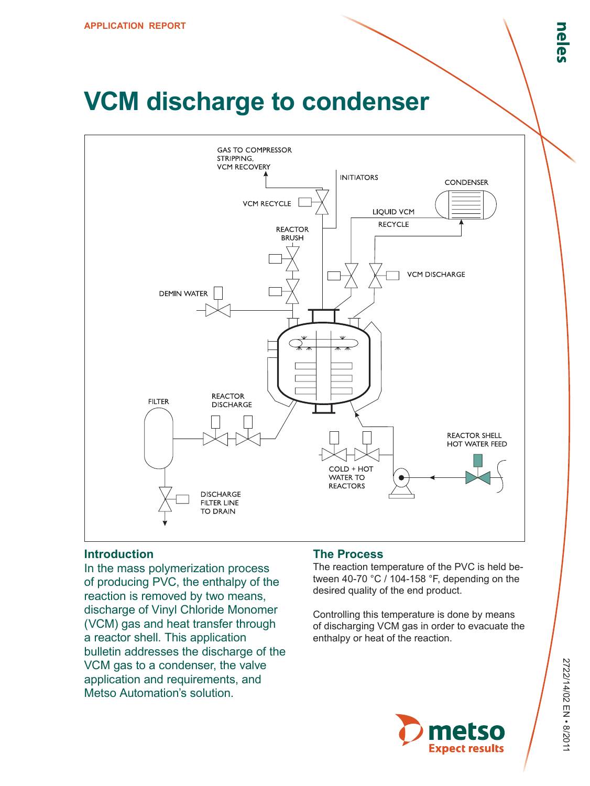# **VCM discharge to condenser**



## **Introduction**

In the mass polymerization process of producing PVC, the enthalpy of the reaction is removed by two means, discharge of Vinyl Chloride Monomer (VCM) gas and heat transfer through a reactor shell. This application bulletin addresses the discharge of the VCM gas to a condenser, the valve application and requirements, and Metso Automation's solution.

#### **The Process**

The reaction temperature of the PVC is held between 40-70 °C / 104-158 °F, depending on the desired quality of the end product.

Controlling this temperature is done by means of discharging VCM gas in order to evacuate the enthalpy or heat of the reaction.